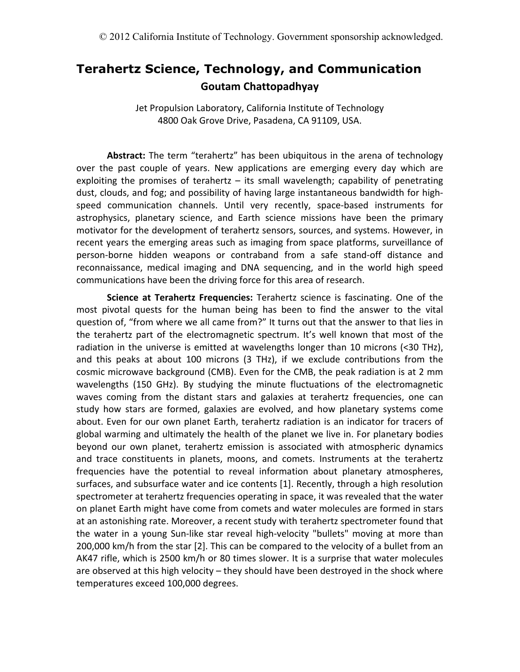## **Terahertz Science, Technology, and Communication Goutam Chattopadhyay**

Jet Propulsion Laboratory, California Institute of Technology 4800 Oak Grove Drive, Pasadena, CA 91109, USA.

**Abstract:** The term "terahertz" has been ubiquitous in the arena of technology over the past couple of years. New applications are emerging every day which are exploiting the promises of terahertz  $-$  its small wavelength; capability of penetrating dust, clouds, and fog; and possibility of having large instantaneous bandwidth for high‐ speed communication channels. Until very recently, space-based instruments for astrophysics, planetary science, and Earth science missions have been the primary motivator for the development of terahertz sensors, sources, and systems. However, in recent years the emerging areas such as imaging from space platforms, surveillance of person‐borne hidden weapons or contraband from a safe stand‐off distance and reconnaissance, medical imaging and DNA sequencing, and in the world high speed communications have been the driving force for this area of research.

**Science at Terahertz Frequencies:** Terahertz science is fascinating. One of the most pivotal quests for the human being has been to find the answer to the vital question of, "from where we all came from?" It turns out that the answer to that lies in the terahertz part of the electromagnetic spectrum. It's well known that most of the radiation in the universe is emitted at wavelengths longer than 10 microns (<30 THz), and this peaks at about 100 microns (3 THz), if we exclude contributions from the cosmic microwave background (CMB). Even for the CMB, the peak radiation is at 2 mm wavelengths (150 GHz). By studying the minute fluctuations of the electromagnetic waves coming from the distant stars and galaxies at terahertz frequencies, one can study how stars are formed, galaxies are evolved, and how planetary systems come about. Even for our own planet Earth, terahertz radiation is an indicator for tracers of global warming and ultimately the health of the planet we live in. For planetary bodies beyond our own planet, terahertz emission is associated with atmospheric dynamics and trace constituents in planets, moons, and comets. Instruments at the terahertz frequencies have the potential to reveal information about planetary atmospheres, surfaces, and subsurface water and ice contents [1]. Recently, through a high resolution spectrometer at terahertz frequencies operating in space, it was revealed that the water on planet Earth might have come from comets and water molecules are formed in stars at an astonishing rate. Moreover, a recent study with terahertz spectrometer found that the water in a young Sun‐like star reveal high‐velocity "bullets" moving at more than 200,000 km/h from the star [2]. This can be compared to the velocity of a bullet from an AK47 rifle, which is 2500 km/h or 80 times slower. It is a surprise that water molecules are observed at this high velocity – they should have been destroyed in the shock where temperatures exceed 100,000 degrees.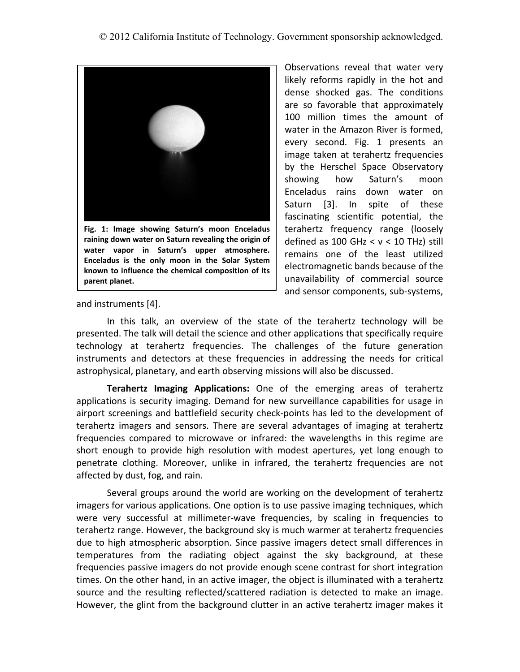

**raining down water on Saturn revealing the origin of water vapor in Saturn's upper atmosphere. Enceladus is the only moon in the Solar System known to influence the chemical composition of its parent planet.**

Observations reveal that water very likely reforms rapidly in the hot and dense shocked gas. The conditions are so favorable that approximately 100 million times the amount of water in the Amazon River is formed, every second. Fig. 1 presents an image taken at terahertz frequencies by the Herschel Space Observatory showing how Saturn's moon Enceladus rains down water on Saturn [3]. In spite of these fascinating scientific potential, the terahertz frequency range (loosely defined as 100 GHz < ν < 10 THz) still remains one of the least utilized electromagnetic bands because of the unavailability of commercial source and sensor components, sub‐systems,

and instruments [4].

In this talk, an overview of the state of the terahertz technology will be presented. The talk will detail the science and other applications that specifically require technology at terahertz frequencies. The challenges of the future generation instruments and detectors at these frequencies in addressing the needs for critical astrophysical, planetary, and earth observing missions will also be discussed.

**Terahertz Imaging Applications:** One of the emerging areas of terahertz applications is security imaging. Demand for new surveillance capabilities for usage in airport screenings and battlefield security check‐points has led to the development of terahertz imagers and sensors. There are several advantages of imaging at terahertz frequencies compared to microwave or infrared: the wavelengths in this regime are short enough to provide high resolution with modest apertures, yet long enough to penetrate clothing. Moreover, unlike in infrared, the terahertz frequencies are not affected by dust, fog, and rain.

Several groups around the world are working on the development of terahertz imagers for various applications. One option is to use passive imaging techniques, which were very successful at millimeter-wave frequencies, by scaling in frequencies to terahertz range. However, the background sky is much warmer at terahertz frequencies due to high atmospheric absorption. Since passive imagers detect small differences in temperatures from the radiating object against the sky background, at these frequencies passive imagers do not provide enough scene contrast for short integration times. On the other hand, in an active imager, the object is illuminated with a terahertz source and the resulting reflected/scattered radiation is detected to make an image. However, the glint from the background clutter in an active terahertz imager makes it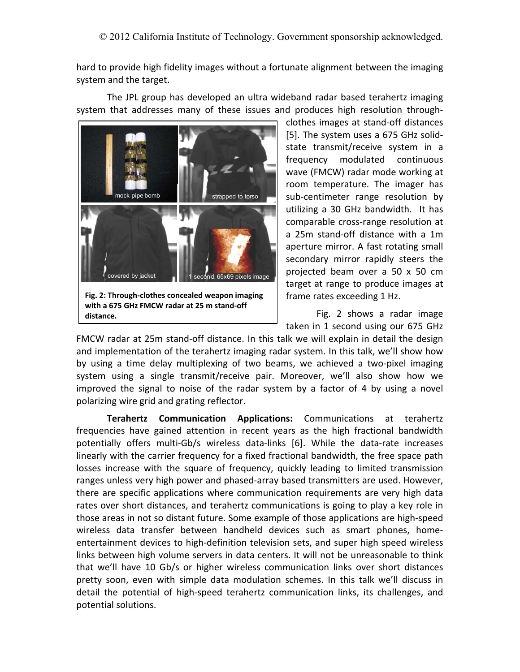hard to provide high fidelity images without a fortunate alignment between the imaging system and the target.

The JPL group has developed an ultra wideband radar based terahertz imaging system that addresses many of these issues and produces high resolution through‐



**with a 675 GHz FMCW radar at 25 m stand‐off distance.**

clothes images at stand‐off distances [5]. The system uses a 675 GHz solid‐ state transmit/receive system in a frequency modulated continuous wave (FMCW) radar mode working at room temperature. The imager has sub-centimeter range resolution by utilizing a 30 GHz bandwidth. It has comparable cross‐range resolution at a 25m stand‐off distance with a 1m aperture mirror. A fast rotating small secondary mirror rapidly steers the projected beam over a 50 x 50 cm target at range to produce images at frame rates exceeding 1 Hz.

Fig. 2 shows a radar image taken in 1 second using our 675 GHz

FMCW radar at 25m stand-off distance. In this talk we will explain in detail the design and implementation of the terahertz imaging radar system. In this talk, we'll show how by using a time delay multiplexing of two beams, we achieved a two‐pixel imaging system using a single transmit/receive pair. Moreover, we'll also show how we improved the signal to noise of the radar system by a factor of 4 by using a novel polarizing wire grid and grating reflector.

**Terahertz Communication Applications:** Communications at terahertz frequencies have gained attention in recent years as the high fractional bandwidth potentially offers multi-Gb/s wireless data-links [6]. While the data-rate increases linearly with the carrier frequency for a fixed fractional bandwidth, the free space path losses increase with the square of frequency, quickly leading to limited transmission ranges unless very high power and phased-array based transmitters are used. However, there are specific applications where communication requirements are very high data rates over short distances, and terahertz communications is going to play a key role in those areas in not so distant future. Some example of those applications are high‐speed wireless data transfer between handheld devices such as smart phones, home‐ entertainment devices to high‐definition television sets, and super high speed wireless links between high volume servers in data centers. It will not be unreasonable to think that we'll have 10 Gb/s or higher wireless communication links over short distances pretty soon, even with simple data modulation schemes. In this talk we'll discuss in detail the potential of high‐speed terahertz communication links, its challenges, and potential solutions.